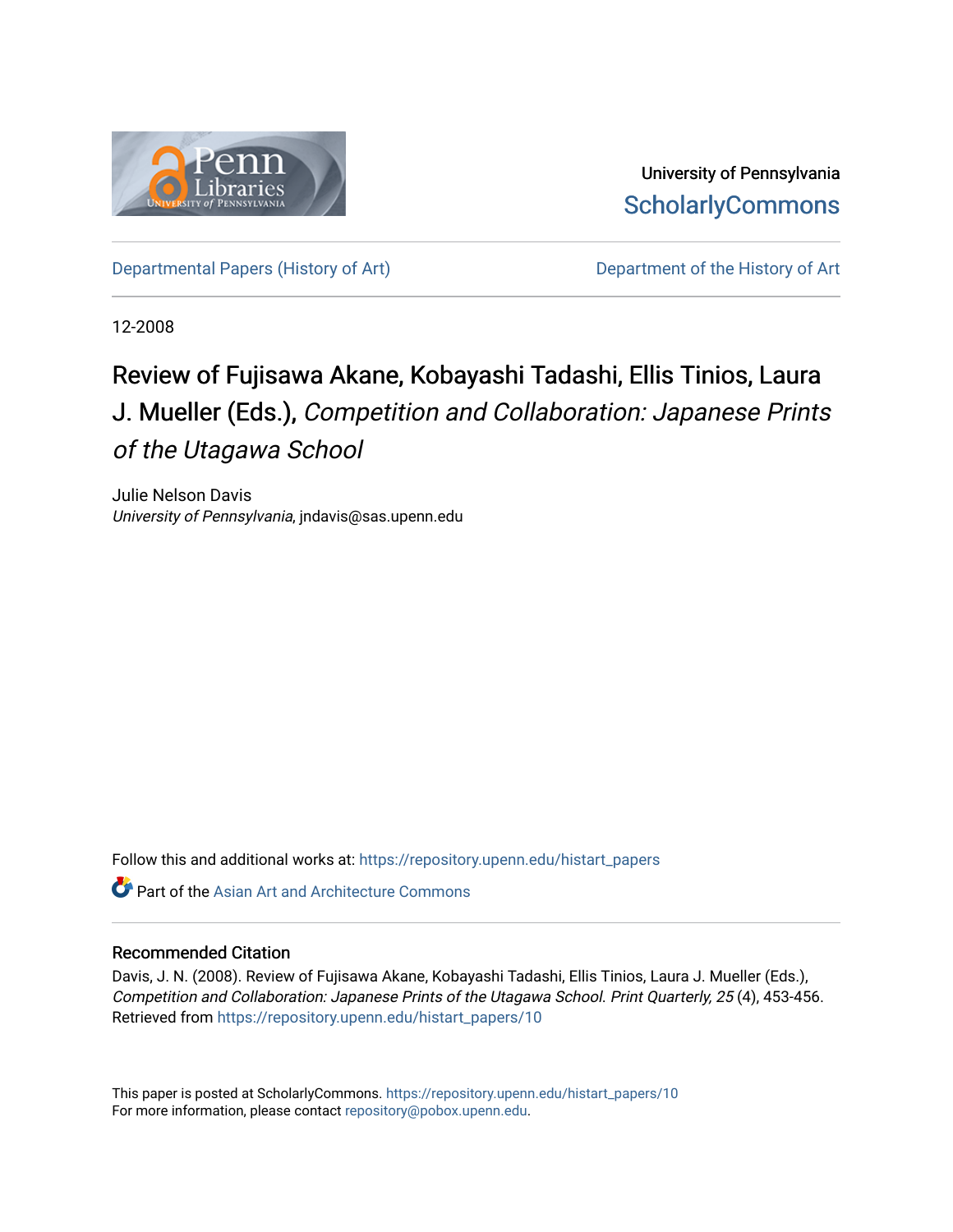

University of Pennsylvania **ScholarlyCommons** 

[Departmental Papers \(History of Art\)](https://repository.upenn.edu/histart_papers) Department of the History of Art

12-2008

# Review of Fujisawa Akane, Kobayashi Tadashi, Ellis Tinios, Laura J. Mueller (Eds.), Competition and Collaboration: Japanese Prints of the Utagawa School

Julie Nelson Davis University of Pennsylvania, jndavis@sas.upenn.edu

Follow this and additional works at: [https://repository.upenn.edu/histart\\_papers](https://repository.upenn.edu/histart_papers?utm_source=repository.upenn.edu%2Fhistart_papers%2F10&utm_medium=PDF&utm_campaign=PDFCoverPages)

 $\bullet$  Part of the [Asian Art and Architecture Commons](http://network.bepress.com/hgg/discipline/513?utm_source=repository.upenn.edu%2Fhistart_papers%2F10&utm_medium=PDF&utm_campaign=PDFCoverPages)

#### Recommended Citation

Davis, J. N. (2008). Review of Fujisawa Akane, Kobayashi Tadashi, Ellis Tinios, Laura J. Mueller (Eds.), Competition and Collaboration: Japanese Prints of the Utagawa School. Print Quarterly, 25 (4), 453-456. Retrieved from [https://repository.upenn.edu/histart\\_papers/10](https://repository.upenn.edu/histart_papers/10?utm_source=repository.upenn.edu%2Fhistart_papers%2F10&utm_medium=PDF&utm_campaign=PDFCoverPages)

This paper is posted at ScholarlyCommons. [https://repository.upenn.edu/histart\\_papers/10](https://repository.upenn.edu/histart_papers/10) For more information, please contact [repository@pobox.upenn.edu.](mailto:repository@pobox.upenn.edu)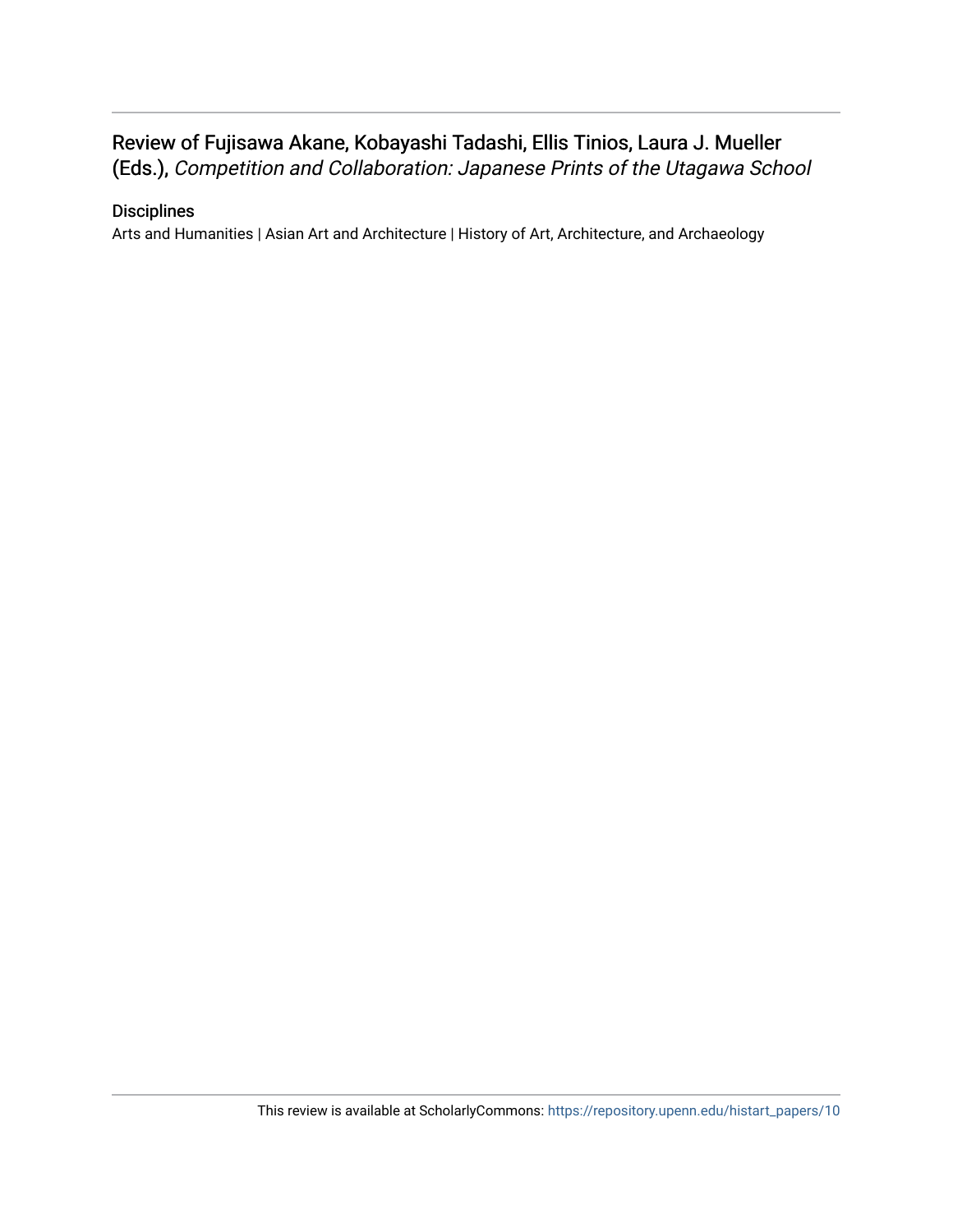# Review of Fujisawa Akane, Kobayashi Tadashi, Ellis Tinios, Laura J. Mueller

(Eds.), Competition and Collaboration: Japanese Prints of the Utagawa School

## **Disciplines**

Arts and Humanities | Asian Art and Architecture | History of Art, Architecture, and Archaeology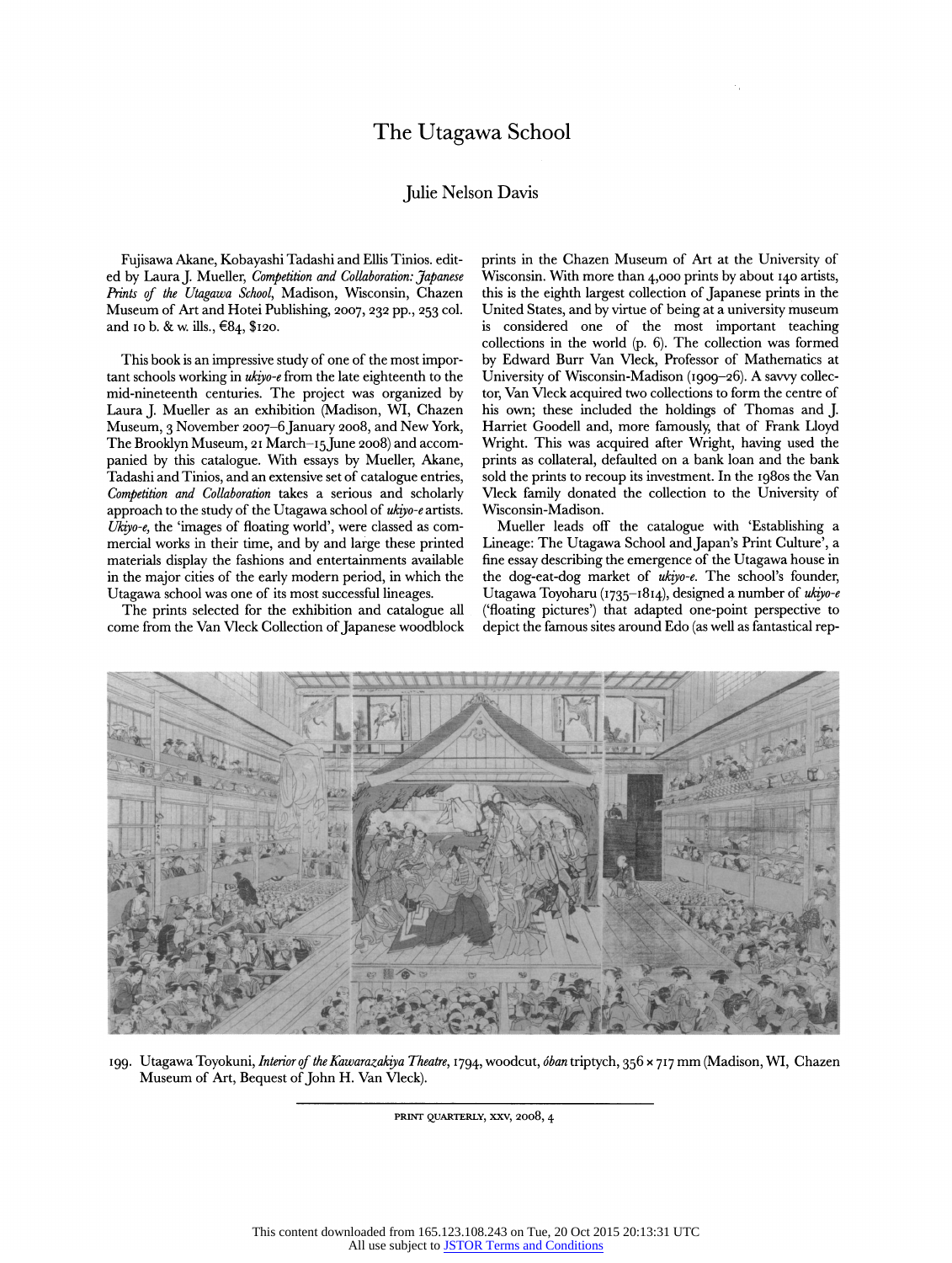#### The Utagawa School

#### Julie Nelson Davis

Fujisawa Akane, Kobayashi Tadashi and Ellis Tinios. edited by Laura J. Mueller, Competition and Collaboration: Japanese Prints of the Utagawa School, Madison, Wisconsin, Chazen Museum of Art and Hotei Publishing, 2007, 232 pp., 253 col. and 10 b. & w. ills., €84, \$120.

This book is an impressive study of one of the most important schools working in ukiyo-e from the late eighteenth to the mid-nineteenth centuries. The project was organized by Laura J. Mueller as an exhibition (Madison, WI, Chazen Museum, 3 November 2007-6 January 2008, and New York, The Brooklyn Museum, 21 March-15 June 2008) and accompanied by this catalogue. With essays by Mueller, Akane, Tadashi and Tinios, and an extensive set of catalogue entries, Competition and Collaboration takes a serious and scholarly approach to the study of the Utagawa school of ukiyo-e artists. Ukiyo-e, the 'images of floating world', were classed as commercial works in their time, and by and large these printed materials display the fashions and entertainments available in the major cities of the early modern period, in which the Utagawa school was one of its most successful lineages.

The prints selected for the exhibition and catalogue all come from the Van Vleck Collection of Japanese woodblock prints in the Chazen Museum of Art at the University of Wisconsin. With more than 4,000 prints by about 140 artists, this is the eighth largest collection of Japanese prints in the United States, and by virtue of being at a university museum is considered one of the most important teaching collections in the world (p. 6). The collection was formed by Edward Burr Van Vleck, Professor of Mathematics at University of Wisconsin-Madison (1909-26). A savvy collector, Van Vleck acquired two collections to form the centre of his own; these included the holdings of Thomas and J. Harriet Goodell and, more famously, that of Frank Lloyd Wright. This was acquired after Wright, having used the prints as collateral, defaulted on a bank loan and the bank sold the prints to recoup its investment. In the 1980s the Van Vleck family donated the collection to the University of Wisconsin-Madison.

Mueller leads off the catalogue with 'Establishing a Lineage: The Utagawa School and Japan's Print Culture', a fine essay describing the emergence of the Utagawa house in the dog-eat-dog market of ukiyo-e. The school's founder, Utagawa Toyoharu (1735-1814), designed a number of ukiyo-e ('floating pictures') that adapted one-point perspective to depict the famous sites around Edo (as well as fantastical rep-



199. Utagawa Toyokuni, Interior of the Kawarazakiya Theatre, 1794, woodcut, óban triptych, 356 x 717 mm (Madison, WI, Chazen Museum of Art, Bequest of John H. Van Vleck).

PRINT QUARTERLY, XXV, 2008, 4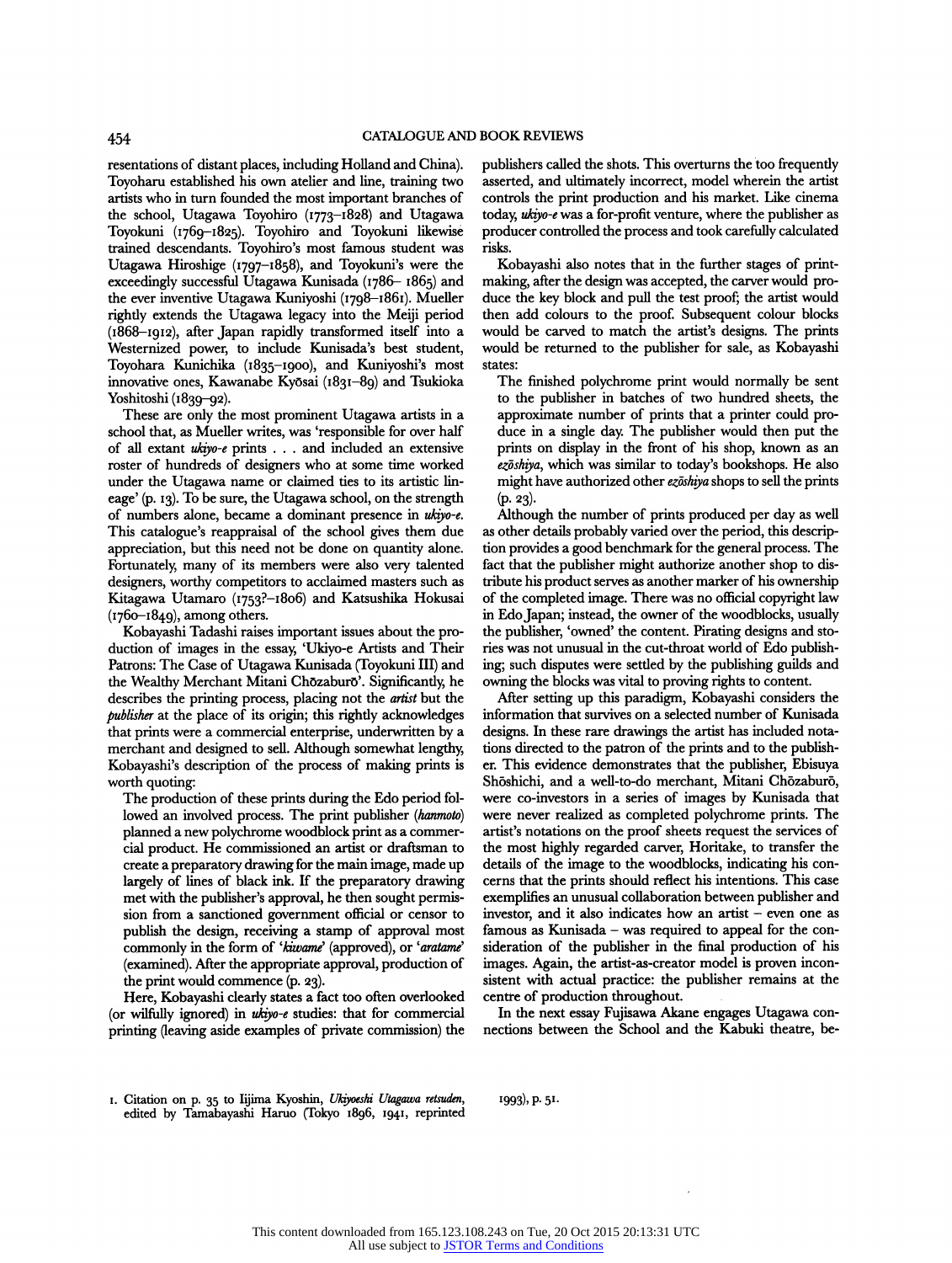resentations of distant places, including Holland and China). Toyoharu established his own atelier and line, training two artists who in turn founded the most important branches of the school, Utagawa Toyohiro (1773-1828) and Utagawa Toyokuni (1769-1825). Toyohiro and Toyokuni likewise trained descendants. Toyohiro's most famous student was Utagawa Hiroshige (1797-1858), and Toyokuni's were the exceedingly successful Utagawa Kunisada (1786- 1865) and the ever inventive Utagawa Kuniyoshi (1798-1861). Mueller rightly extends the Utagawa legacy into the Meiji period (1868-1912), after Japan rapidly transformed itself into a Westernized power, to include Kunisada's best student, Toyohara Kunichika (1835-1900), and Kuniyoshi's most innovative ones, Kawanabe Kyõsai (1831-89) and Tsukioka Yoshitoshi (1839-92).

These are only the most prominent Utagawa artists in a school that, as Mueller writes, was 'responsible for over half of all extant ukiyo-e prints . . . and included an extensive roster of hundreds of designers who at some time worked under the Utagawa name or claimed ties to its artistic lineage' (p. 13). To be sure, the Utagawa school, on the strength of numbers alone, became a dominant presence in ukiyo-e. This catalogue's reappraisal of the school gives them due appreciation, but this need not be done on quantity alone. Fortunately, many of its members were also very talented designers, worthy competitors to acclaimed masters such as Kitagawa Utamaro (i753?-i8o6) and Katsushika Hokusai  $(1760 - 1849)$ , among others.

Kobayashi Tadashi raises important issues about the production of images in the essay, 'Ukiyo-e Artists and Their Patrons: The Case of Utagawa Kunisada (Toyokuni III) and the Wealthy Merchant Mitani Chõzaburõ'. Significantly, he describes the printing process, placing not the artist but the publisher at the place of its origin; this rightly acknowledges that prints were a commercial enterprise, underwritten by a merchant and designed to sell. Although somewhat lengthy, Kobayashi's description of the process of making prints is worth quoting:

The production of these prints during the Edo period followed an involved process. The print publisher (hanmoto) planned a new polychrome woodblock print as a commercial product. He commissioned an artist or draftsman to create a preparatory drawing for the main image, made up largely of lines of black ink. If the preparatory drawing met with the publisher's approval, he then sought permission from a sanctioned government official or censor to publish the design, receiving a stamp of approval most commonly in the form of 'kiwame' (approved), or 'aratame' (examined). After the appropriate approval, production of the print would commence (p. 23).

Here, Kobayashi clearly states a fact too often overlooked (or wilfully ignored) in ukiyo-e studies: that for commercial printing (leaving aside examples of private commission) the publishers called the shots. This overturns the too frequently asserted, and ultimately incorrect, model wherein the artist controls the print production and his market. Like cinema today, ukiyo-e was a for-profit venture, where the publisher as producer controlled the process and took carefully calculated risks.

Kobayashi also notes that in the further stages of printmaking, after the design was accepted, the carver would produce the key block and pull the test proof; the artist would then add colours to the proof. Subsequent colour blocks would be carved to match the artist's designs. The prints would be returned to the publisher for sale, as Kobayashi states:

The finished polychrome print would normally be sent to the publisher in batches of two hundred sheets, the approximate number of prints that a printer could produce in a single day. The publisher would then put the prints on display in the front of his shop, known as an ezōshiya, which was similar to today's bookshops. He also might have authorized other ezõshiya shops to sell the prints  $(p. 23)$ .

Although the number of prints produced per day as well as other details probably varied over the period, this description provides a good benchmark for the general process. The fact that the publisher might authorize another shop to distribute his product serves as another marker of his ownership of the completed image. There was no official copyright law in Edo Japan; instead, the owner of the woodblocks, usually the publisher, 'owned' the content. Pirating designs and stories was not unusual in the cut-throat world of Edo publishing; such disputes were settled by the publishing guilds and owning the blocks was vital to proving rights to content.

After setting up this paradigm, Kobayashi considers the information that survives on a selected number of Kunisada designs. In these rare drawings the artist has included notations directed to the patron of the prints and to the publisher. This evidence demonstrates that the publisher, Ebisuya Shöshichi, and a well-to-do merchant, Mitani Chõzaburõ, were co-investors in a series of images by Kunisada that were never realized as completed polychrome prints. The artist's notations on the proof sheets request the services of the most highly regarded carver, Horitake, to transfer the details of the image to the woodblocks, indicating his concerns that the prints should reflect his intentions. This case exemplifies an unusual collaboration between publisher and investor, and it also indicates how an artist - even one as famous as Kunisada - was required to appeal for the consideration of the publisher in the final production of his images. Again, the artist-as-creator model is proven inconsistent with actual practice: the publisher remains at the centre of production throughout.

In the next essay Fujisawa Akane engages Utagawa connections between the School and the Kabuki theatre, be-

1993), p. 51.

<sup>1.</sup> Citation on p. 35 to Iijima Kyoshin, Ukiyoeshi Utagawa retsuden, edited by Tamabayashi Haruo (Tokyo 1896, 1941, reprinted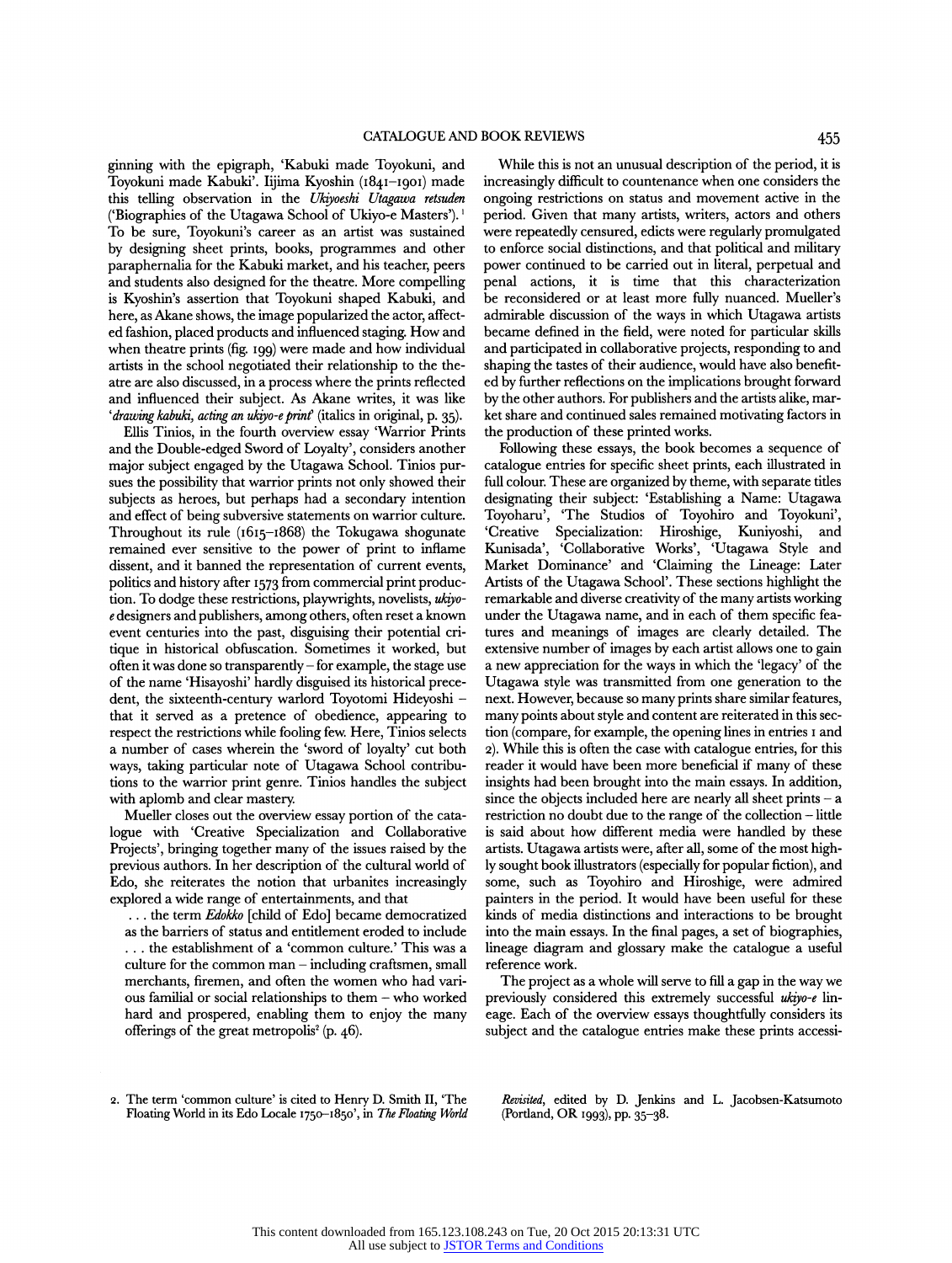ginning with the epigraph, 'Kabuki made Toyokuni, and Toyokuni made Kabuki'. Iijima Kyoshin (1841-1901) made this telling observation in the Ukiyoeshi Utagawa retsuden ('Biographies of the Utagawa School of Ukiyo-e Masters'). 1 To be sure, Toyokuni's career as an artist was sustained by designing sheet prints, books, programmes and other paraphernalia for the Kabuki market, and his teacher, peers and students also designed for the theatre. More compelling is Kyoshin's assertion that Toyokuni shaped Kabuki, and here, as Akane shows, the image popularized the actor, affected fashion, placed products and influenced staging. How and when theatre prints (fig. 199) were made and how individual artists in the school negotiated their relationship to the theatre are also discussed, in a process where the prints reflected ' drawing kabuki, acting an ukiyo-e print' (italics in original, p. 35).

Ellis Tinios, in the fourth overview essay 'Warrior Prints and the Double-edged Sword of Loyalty', considers another major subject engaged by the Utagawa School. Tinios pursues the possibility that warrior prints not only showed their subjects as heroes, but perhaps had a secondary intention and effect of being subversive statements on warrior culture. Toyoharu', 'The Studios Throughout its rule  $(1615-1868)$  the Tokugawa shogunate 'Creative' Specialization: Throughout its rule (1615-1868) the Tokugawa shogunate remained ever sensitive to the power of print to inflame dissent, and it banned the representation of current events, politics and history after 1573 from commercial print production. To dodge these restrictions, playwrights, novelists, ukiyoe designers and publishers, among others, often reset a known event centuries into the past, disguising their potential critique in historical obfuscation. Sometimes it worked, but often it was done so transparendy - for example, the stage use of the name 'Hisayoshi' hardly disguised its historical precedent, the sixteenth-century warlord Toyotomi Hideyoshi that it served as a pretence of obedience, appearing to respect the restrictions while fooling few. Here, Tinios selects a number of cases wherein the 'sword of loyalty' cut both ways, taking particular note of Utagawa School contributions to the warrior print genre. Tinios handles the subject with aplomb and clear mastery.

Mueller closes out the overview essay portion of the catalogue with 'Creative Specialization and Collaborative Projects', bringing together many of the issues raised by the previous authors. In her description of the cultural world of Edo, she reiterates the notion that urbanites increasingly explored a wide range of entertainments, and that

... the term Edokko [child of Edo] became democratized as the barriers of status and entidement eroded to include . . . the establishment of a'common culture.' This was a culture for the common man  $-$  including craftsmen, small merchants, firemen, and often the women who had various familial or social relationships to them - who worked hard and prospered, enabling them to enjoy the many offerings of the great metropolis<sup>2</sup> (p.  $46$ ).

While this is not an unusual description of the period, it is increasingly difficult to countenance when one considers the ongoing restrictions on status and movement active in the period. Given that many artists, writers, actors and others were repeatedly censured, edicts were regularly promulgated to enforce social distinctions, and that political and military power continued to be carried out in literal, perpetual and penal actions, it is time that this characterization be reconsidered or at least more fully nuanced. Mueller's admirable discussion of the ways in which Utagawa artists became defined in the field, were noted for particular skills and participated in collaborative projects, responding to and shaping the tastes of their audience, would have also benefited by further reflections on the implications brought forward by the other authors. For publishers and the artists alike, market share and continued sales remained motivating factors in the production of these printed works.

Following these essays, the book becomes a sequence of catalogue entries for specific sheet prints, each illustrated in full colour. These are organized by theme, with separate tides designating their subject: 'Establishing a Name: Utagawa Toyoharu', 'The Studios of Toyohiro and Toyokuni', 'Creative Specialization: Hiroshige, Kuniyoshi, and Kunisada', 'Collaborative Works', 'Utagawa Style and Market Dominance' and 'Claiming the Lineage: Later Artists of the Utagawa School'. These sections highlight the remarkable and diverse creativity of the many artists working under the Utagawa name, and in each of them specific features and meanings of images are clearly detailed. The extensive number of images by each artist allows one to gain a new appreciation for the ways in which the 'legacy' of the Utagawa style was transmitted from one generation to the next. However, because so many prints share similar features, many points about style and content are reiterated in this section (compare, for example, the opening lines in entries 1 and 2). While this is often the case with catalogue entries, for this reader it would have been more beneficial if many of these insights had been brought into the main essays. In addition, since the objects included here are nearly all sheet prints  $-$  a restriction no doubt due to the range of the collection - little is said about how different media were handled by these artists. Utagawa artists were, after all, some of the most highly sought book illustrators (especially for popular fiction), and some, such as Toyohiro and Hiroshige, were admired painters in the period. It would have been useful for these kinds of media distinctions and interactions to be brought into the main essays. In the final pages, a set of biographies, lineage diagram and glossary make the catalogue a useful reference work.

The project as a whole will serve to fill a gap in the way we previously considered this extremely successful ukiyo-e lineage. Each of the overview essays thoughtfully considers its subject and the catalogue entries make these prints accessi-

Revisited, edited by D. Jenkins and L. Jacobsen-Katsumoto (Portland, OR 1993), pp. 35-38.

<sup>2.</sup> The term 'common culture' is cited to Henry D. Smith II, 'The Floating World in its Edo Locale 1750-1850', in The Floating World